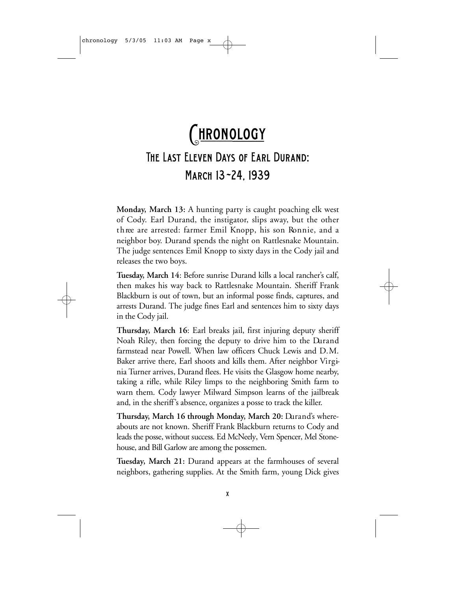## CHRONOLOGY The Last Eleven Days of Earl Durand: March 13-24, 1939

**Monday, March 13:** A hunting party is caught poaching elk west of Cody. Earl Durand, the instigator, slips away, but the other three are arrested: farmer Emil Knopp, his son Ronnie, and a neighbor boy. Durand spends the night on Rattlesnake Mountain. The judge sentences Emil Knopp to sixty days in the Cody jail and releases the two boys.

Tuesday, March 14: Before sunrise Durand kills a local rancher's calf, then makes his way back to Rattlesnake Mountain. Sheriff Frank Blackburn is out of town, but an informal posse finds, captures, and arrests Durand. The judge fines Earl and sentences him to sixty days in the Cody jail.

**Thursday, March 16:** Earl breaks jail, first injuring deputy sheriff Noah Riley, then forcing the deputy to drive him to the Durand farmstead near Powell. When law officers Chuck Lewis and D.M. Baker arrive there, Earl shoots and kills them. After neighbor Virginia Turner arrives, Durand flees. He visits the Glasgow home nearby, taking a rifle, while Riley limps to the neighboring Smith farm to warn them. Cody lawyer Milward Simpson learns of the jailbreak and, in the sheriff's absence, organizes a posse to track the killer.

**Thursday, March 16 through Monday, March 20: Durand's where**abouts are not known. Sheriff Frank Blackburn returns to Cody and leads the posse, without success. Ed McNeely, Vern Spencer, Mel Stonehouse, and Bill Garlow are among the possemen.

Tuesday, March 21: Durand appears at the farmhouses of several neighbors, gathering supplies. At the Smith farm, young Dick gives